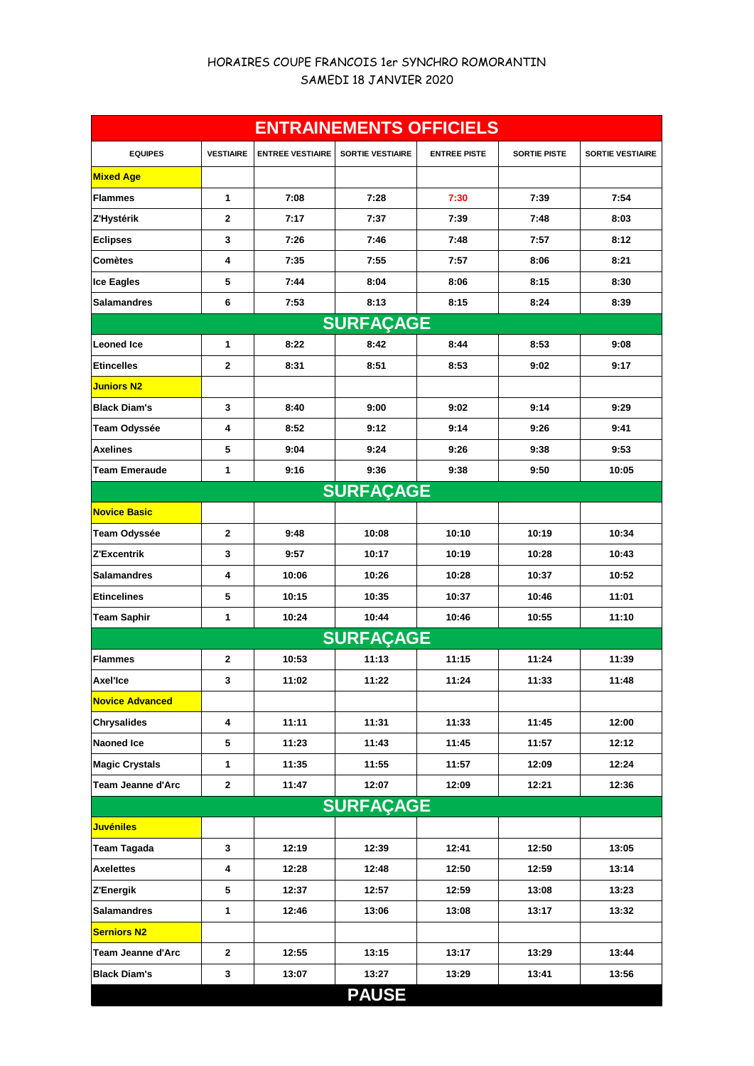## HORAIRES COUPE FRANCOIS 1er SYNCHRO ROMORANTIN SAMEDI 18 JANVIER 2020

| <b>ENTRAINEMENTS OFFICIELS</b> |                  |                         |                         |                     |                     |                         |  |  |  |  |
|--------------------------------|------------------|-------------------------|-------------------------|---------------------|---------------------|-------------------------|--|--|--|--|
| <b>EQUIPES</b>                 | <b>VESTIAIRE</b> | <b>ENTREE VESTIAIRE</b> | <b>SORTIE VESTIAIRE</b> | <b>ENTREE PISTE</b> | <b>SORTIE PISTE</b> | <b>SORTIE VESTIAIRE</b> |  |  |  |  |
| <b>Mixed Age</b>               |                  |                         |                         |                     |                     |                         |  |  |  |  |
| <b>Flammes</b>                 | 1                | 7:08                    | 7:28                    | 7:30                | 7:39                | 7:54                    |  |  |  |  |
| Z'Hystérik                     | $\mathbf{2}$     | 7:17                    | 7:37                    | 7:39                | 7:48                | 8:03                    |  |  |  |  |
| <b>Eclipses</b>                | 3                | 7:26                    | 7:46                    | 7:48                | 7:57                | 8:12                    |  |  |  |  |
| Comètes                        | 4                | 7:35                    | 7:55                    | 7:57                | 8:06                | 8:21                    |  |  |  |  |
| <b>Ice Eagles</b>              | 5                | 7:44                    | 8:04                    | 8:06                | 8:15                | 8:30                    |  |  |  |  |
| <b>Salamandres</b>             | 6                | 7:53                    | 8:13                    | 8:15                | 8:24                | 8:39                    |  |  |  |  |
| <b>SURFAÇAGE</b>               |                  |                         |                         |                     |                     |                         |  |  |  |  |
| <b>Leoned Ice</b>              | 1                | 8:22                    | 8:42                    | 8:44                | 8:53                | 9:08                    |  |  |  |  |
| <b>Etincelles</b>              | $\mathbf{2}$     | 8:31                    | 8:51                    | 8:53                | 9:02                | 9:17                    |  |  |  |  |
| <b>Juniors N2</b>              |                  |                         |                         |                     |                     |                         |  |  |  |  |
| <b>Black Diam's</b>            | 3                | 8:40                    | 9:00                    | 9:02                | 9:14                | 9:29                    |  |  |  |  |
| Team Odyssée                   | 4                | 8:52                    | 9:12                    | 9:14                | 9:26                | 9:41                    |  |  |  |  |
| <b>Axelines</b>                | 5                | 9:04                    | 9:24                    | 9:26                | 9:38                | 9:53                    |  |  |  |  |
| Team Emeraude                  | 1                | 9:16                    | 9:36                    | 9:38                | 9:50                | 10:05                   |  |  |  |  |
|                                |                  |                         | <b>SURFAÇAGE</b>        |                     |                     |                         |  |  |  |  |
| <b>Novice Basic</b>            |                  |                         |                         |                     |                     |                         |  |  |  |  |
| Team Odyssée                   | $\mathbf{2}$     | 9:48                    | 10:08                   | 10:10               | 10:19               | 10:34                   |  |  |  |  |
| Z'Excentrik                    | 3                | 9:57                    | 10:17                   | 10:19               | 10:28               | 10:43                   |  |  |  |  |
| <b>Salamandres</b>             | 4                | 10:06                   | 10:26                   | 10:28               | 10:37               | 10:52                   |  |  |  |  |
| <b>Etincelines</b>             | 5                | 10:15                   | 10:35                   | 10:37               | 10:46               | 11:01                   |  |  |  |  |
| <b>Team Saphir</b>             | 1                | 10:24                   | 10:44                   | 10:46               | 10:55               | 11:10                   |  |  |  |  |
|                                |                  |                         | <b>SURFAÇAGE</b>        |                     |                     |                         |  |  |  |  |
| <b>Flammes</b>                 | 2                | 10:53                   | 11:13                   | 11:15               | 11:24               | 11:39                   |  |  |  |  |
| Axel'Ice                       | 3                | 11:02                   | 11:22                   | 11:24               | 11:33               | 11:48                   |  |  |  |  |
| <b>Novice Advanced</b>         |                  |                         |                         |                     |                     |                         |  |  |  |  |
| <b>Chrysalides</b>             | 4                | 11:11                   | 11:31                   | 11:33               | 11:45               | 12:00                   |  |  |  |  |
| Naoned Ice                     | 5                | 11:23                   | 11:43                   | 11:45               | 11:57               | 12:12                   |  |  |  |  |
| <b>Magic Crystals</b>          | 1                | 11:35                   | 11:55                   | 11:57               | 12:09               | 12:24                   |  |  |  |  |
| Team Jeanne d'Arc              | $\mathbf{2}$     | 11:47                   | 12:07                   | 12:09               | 12:21               | 12:36                   |  |  |  |  |
| <b>SURFAÇAGE</b>               |                  |                         |                         |                     |                     |                         |  |  |  |  |
| <b>Juvéniles</b>               |                  |                         |                         |                     |                     |                         |  |  |  |  |
| <b>Team Tagada</b>             | 3                | 12:19                   | 12:39                   | 12:41               | 12:50               | 13:05                   |  |  |  |  |
| <b>Axelettes</b>               | 4                | 12:28                   | 12:48                   | 12:50               | 12:59               | 13:14                   |  |  |  |  |
| Z'Energik                      | 5                | 12:37                   | 12:57                   | 12:59               | 13:08               | 13:23                   |  |  |  |  |
| Salamandres                    | 1                | 12:46                   | 13:06                   | 13:08               | 13:17               | 13:32                   |  |  |  |  |
| <b>Serniors N2</b>             |                  |                         |                         |                     |                     |                         |  |  |  |  |
| Team Jeanne d'Arc              | $\mathbf{2}$     | 12:55                   | 13:15                   | 13:17               | 13:29               | 13:44                   |  |  |  |  |
| <b>Black Diam's</b>            | 3                | 13:07                   | 13:27                   | 13:29               | 13:41               | 13:56                   |  |  |  |  |
|                                |                  |                         | <b>PAUSE</b>            |                     |                     |                         |  |  |  |  |